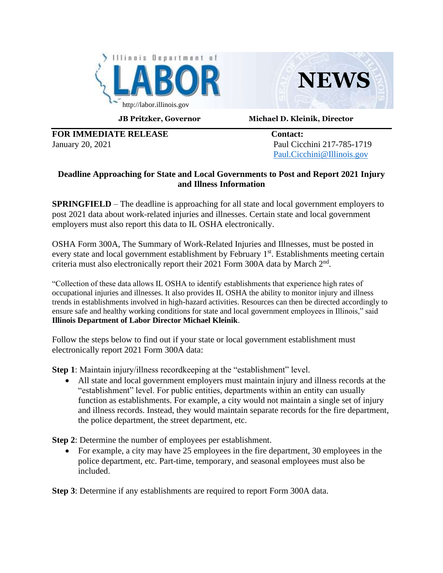



**JB Pritzker, Governor Michael D. Kleinik, Director**

**FOR IMMEDIATE RELEASE Contact:** January 20, 2021 Paul Cicchini 217-785-1719

[Paul.Cicchini@Illinois.gov](mailto:Paul.Cicchini@Illinois.gov)

## **Deadline Approaching for State and Local Governments to Post and Report 2021 Injury and Illness Information**

**SPRINGFIELD** – The deadline is approaching for all state and local government employers to post 2021 data about work-related injuries and illnesses. Certain state and local government employers must also report this data to IL OSHA electronically.

OSHA Form 300A, The Summary of Work-Related Injuries and Illnesses, must be posted in every state and local government establishment by February 1<sup>st</sup>. Establishments meeting certain criteria must also electronically report their 2021 Form 300A data by March  $2<sup>nd</sup>$ .

"Collection of these data allows IL OSHA to identify establishments that experience high rates of occupational injuries and illnesses. It also provides IL OSHA the ability to monitor injury and illness trends in establishments involved in high-hazard activities. Resources can then be directed accordingly to ensure safe and healthy working conditions for state and local government employees in Illinois," said **Illinois Department of Labor Director Michael Kleinik**.

Follow the steps below to find out if your state or local government establishment must electronically report 2021 Form 300A data:

**Step 1**: Maintain injury/illness recordkeeping at the "establishment" level.

• All state and local government employers must maintain injury and illness records at the "establishment" level. For public entities, departments within an entity can usually function as establishments. For example, a city would not maintain a single set of injury and illness records. Instead, they would maintain separate records for the fire department, the police department, the street department, etc.

**Step 2**: Determine the number of employees per establishment.

• For example, a city may have 25 employees in the fire department, 30 employees in the police department, etc. Part-time, temporary, and seasonal employees must also be included.

**Step 3**: Determine if any establishments are required to report Form 300A data.